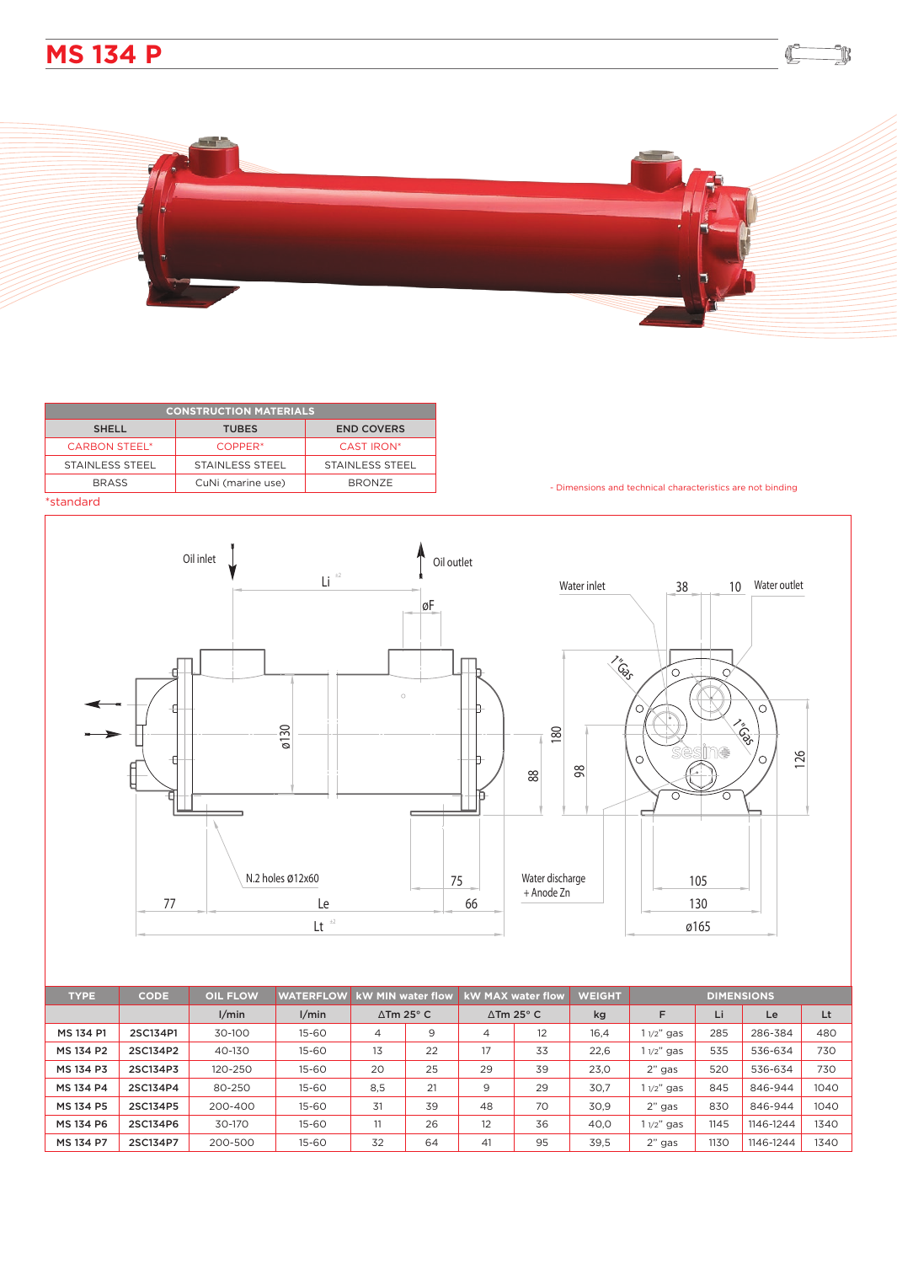



| <b>CONSTRUCTION MATERIALS</b> |                     |                        |  |  |  |  |  |  |
|-------------------------------|---------------------|------------------------|--|--|--|--|--|--|
| <b>SHELL</b>                  | <b>TUBES</b>        | <b>END COVERS</b>      |  |  |  |  |  |  |
| <b>CARBON STEEL*</b>          | COPPER <sup>*</sup> | <b>CAST IRON*</b>      |  |  |  |  |  |  |
| STAINLESS STEEL               | STAINLESS STEEL     | <b>STAINLESS STEEL</b> |  |  |  |  |  |  |
| <b>BRASS</b>                  | CuNi (marine use)   | <b>BRONZE</b>          |  |  |  |  |  |  |
| المسامي والمراجع والمسافرة    |                     |                        |  |  |  |  |  |  |

- Dimensions and technical characteristics are not binding

 $\mathbb C$ 

k

\*standard



| <b>TYPE</b> | <b>CODE</b> | <b>OIL FLOW</b> | <b>WATERFLOW</b> | <b>kW MIN water flow</b>    |    | <b>kW MAX water flow</b>    |    | <b>WEIGHT</b> | <b>DIMENSIONS</b> |      |           |      |
|-------------|-------------|-----------------|------------------|-----------------------------|----|-----------------------------|----|---------------|-------------------|------|-----------|------|
|             |             | 1/min           | 1/min            | $\Delta$ Tm 25 $^{\circ}$ C |    | $\Delta$ Tm 25 $^{\circ}$ C |    | kg            | E                 | Li   | Le        | Lt   |
| MS 134 P1   | 2SC134P1    | 30-100          | $15 - 60$        | 4                           | 9  | $\overline{4}$              | 12 | 16,4          | $11/2"$ gas       | 285  | 286-384   | 480  |
| MS 134 P2   | 2SC134P2    | 40-130          | $15 - 60$        | 13                          | 22 | 17                          | 33 | 22,6          | $11/2"$ gas       | 535  | 536-634   | 730  |
| MS 134 P3   | 2SC134P3    | 120-250         | $15 - 60$        | 20                          | 25 | 29                          | 39 | 23,0          | $2"$ gas          | 520  | 536-634   | 730  |
| MS 134 P4   | 2SC134P4    | 80-250          | $15 - 60$        | 8.5                         | 21 | 9                           | 29 | 30.7          | 1 1/2" gas        | 845  | 846-944   | 1040 |
| MS 134 P5   | 2SC134P5    | 200-400         | $15 - 60$        | 31                          | 39 | 48                          | 70 | 30.9          | $2"$ gas          | 830  | 846-944   | 1040 |
| MS 134 P6   | 2SC134P6    | 30-170          | $15 - 60$        |                             | 26 | 12                          | 36 | 40,0          | $11/2"$ gas       | 1145 | 1146-1244 | 1340 |
| MS 134 P7   | 2SC134P7    | 200-500         | $15 - 60$        | 32                          | 64 | 41                          | 95 | 39,5          | $2"$ gas          | 1130 | 1146-1244 | 1340 |